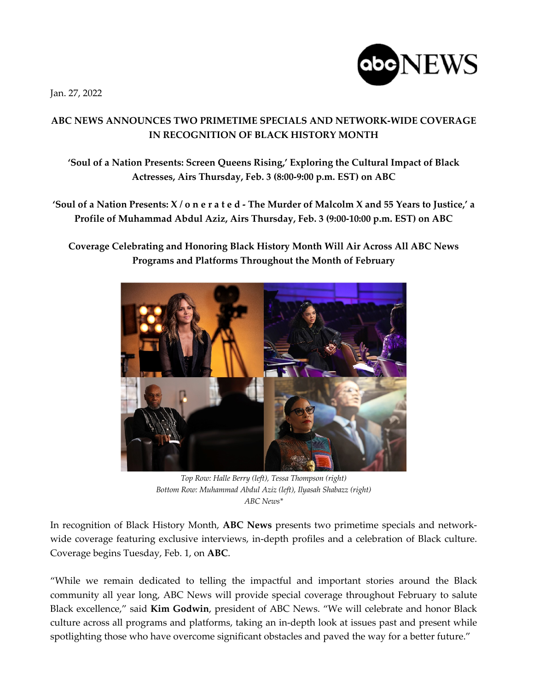Jan. 27, 2022



## **ABC NEWS ANNOUNCES TWO PRIMETIME SPECIALS AND NETWORK-WIDE COVERAGE IN RECOGNITION OF BLACK HISTORY MONTH**

**'Soul of a Nation Presents: Screen Queens Rising,' Exploring the Cultural Impact of Black Actresses, Airs Thursday, Feb. 3 (8:00-9:00 p.m. EST) on ABC**

**'Soul of a Nation Presents: X / o n e r a t e d - The Murder of Malcolm X and 55 Years to Justice,' a Profile of Muhammad Abdul Aziz, Airs Thursday, Feb. 3 (9:00-10:00 p.m. EST) on ABC**

**Coverage Celebrating and Honoring Black History Month Will Air Across All ABC News Programs and Platforms Throughout the Month of February** 



*Top Row: Halle Berry (left), Tessa Thompson (right) Bottom Row: Muhammad Abdul Aziz (left), Ilyasah Shabazz (right) ABC News\**

In recognition of Black History Month, **ABC News** presents two primetime specials and networkwide coverage featuring exclusive interviews, in-depth profiles and a celebration of Black culture. Coverage begins Tuesday, Feb. 1, on **ABC**.

"While we remain dedicated to telling the impactful and important stories around the Black community all year long, ABC News will provide special coverage throughout February to salute Black excellence," said **Kim Godwin**, president of ABC News. "We will celebrate and honor Black culture across all programs and platforms, taking an in-depth look at issues past and present while spotlighting those who have overcome significant obstacles and paved the way for a better future."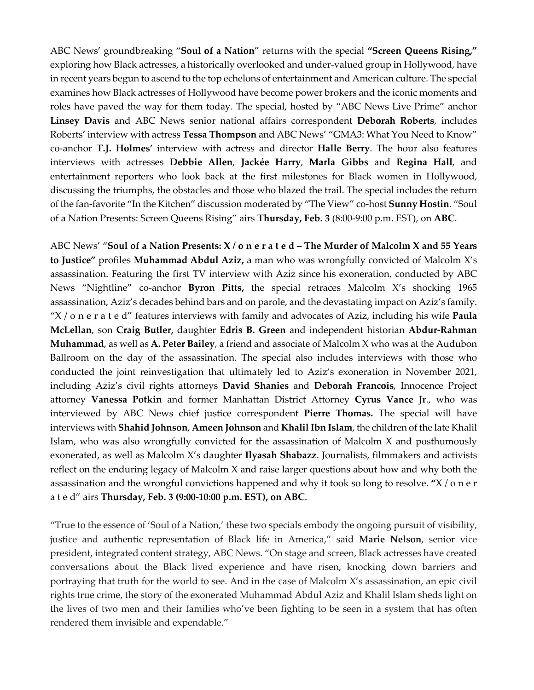ABC News' groundbreaking "**Soul of a Nation**" returns with the special **"Screen Queens Rising,"** exploring how Black actresses, a historically overlooked and under-valued group in Hollywood, have in recent years begun to ascend to the top echelons of entertainment and American culture. The special examines how Black actresses of Hollywood have become power brokers and the iconic moments and roles have paved the way for them today. The special, hosted by "ABC News Live Prime" anchor **Linsey Davis** and ABC News senior national affairs correspondent **Deborah Roberts**, includes Roberts' interview with actress **Tessa Thompson** and ABC News' "GMA3: What You Need to Know" co-anchor **T.J. Holmes'** interview with actress and director **Halle Berry**. The hour also features interviews with actresses **Debbie Allen**, **Jackée Harry**, **Marla Gibbs** and **Regina Hall**, and entertainment reporters who look back at the first milestones for Black women in Hollywood, discussing the triumphs, the obstacles and those who blazed the trail. The special includes the return of the fan-favorite "In the Kitchen" discussion moderated by "The View" co-host **Sunny Hostin**. "Soul of a Nation Presents: Screen Queens Rising" airs **Thursday, Feb. 3** (8:00-9:00 p.m. EST), on **ABC**.

ABC News' "**Soul of a Nation Presents: X / o n e r a t e d – The Murder of Malcolm X and 55 Years to Justice"** profiles **Muhammad Abdul Aziz,** a man who was wrongfully convicted of Malcolm X's assassination. Featuring the first TV interview with Aziz since his exoneration, conducted by ABC News "Nightline" co-anchor **Byron Pitts,** the special retraces Malcolm X's shocking 1965 assassination, Aziz's decades behind bars and on parole, and the devastating impact on Aziz's family. "X / o n e r a t e d" features interviews with family and advocates of Aziz, including his wife **Paula McLellan**, son **Craig Butler,** daughter **Edris B. Green** and independent historian **Abdur-Rahman Muhammad**, as well as **A. Peter Bailey**, a friend and associate of Malcolm X who was at the Audubon Ballroom on the day of the assassination. The special also includes interviews with those who conducted the joint reinvestigation that ultimately led to Aziz's exoneration in November 2021, including Aziz's civil rights attorneys **David Shanies** and **Deborah Francois**, Innocence Project attorney **Vanessa Potkin** and former Manhattan District Attorney **Cyrus Vance Jr**., who was interviewed by ABC News chief justice correspondent **Pierre Thomas.** The special will have interviews with **Shahid Johnson**, **Ameen Johnson** and **Khalil Ibn Islam**, the children of the late Khalil Islam, who was also wrongfully convicted for the assassination of Malcolm X and posthumously exonerated, as well as Malcolm X's daughter **Ilyasah Shabazz**. Journalists, filmmakers and activists reflect on the enduring legacy of Malcolm X and raise larger questions about how and why both the assassination and the wrongful convictions happened and why it took so long to resolve. **"**X / o n e r a t e d" airs **Thursday, Feb. 3 (9:00-10:00 p.m. EST), on ABC**.

"True to the essence of 'Soul of a Nation,' these two specials embody the ongoing pursuit of visibility, justice and authentic representation of Black life in America," said **Marie Nelson**, senior vice president, integrated content strategy, ABC News. "On stage and screen, Black actresses have created conversations about the Black lived experience and have risen, knocking down barriers and portraying that truth for the world to see. And in the case of Malcolm X's assassination, an epic civil rights true crime, the story of the exonerated Muhammad Abdul Aziz and Khalil Islam sheds light on the lives of two men and their families who've been fighting to be seen in a system that has often rendered them invisible and expendable."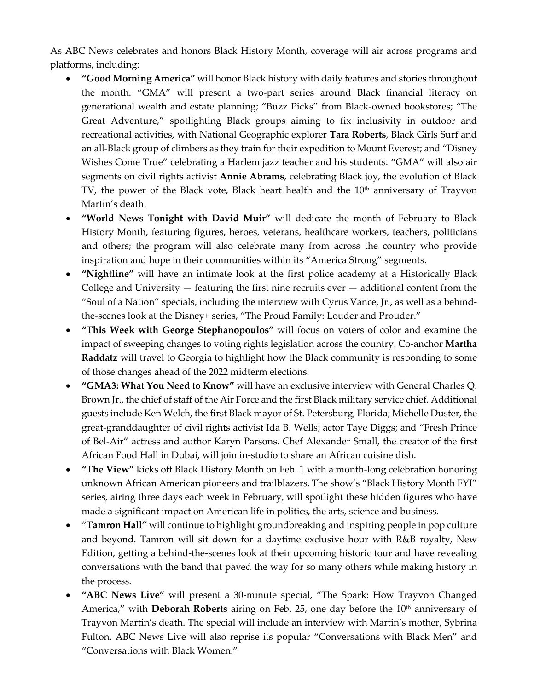As ABC News celebrates and honors Black History Month, coverage will air across programs and platforms, including:

- **"Good Morning America"** will honor Black history with daily features and stories throughout the month. "GMA" will present a two-part series around Black financial literacy on generational wealth and estate planning; "Buzz Picks" from Black-owned bookstores; "The Great Adventure," spotlighting Black groups aiming to fix inclusivity in outdoor and recreational activities, with National Geographic explorer **Tara Roberts**, Black Girls Surf and an all-Black group of climbers as they train for their expedition to Mount Everest; and "Disney Wishes Come True" celebrating a Harlem jazz teacher and his students. "GMA" will also air segments on civil rights activist **Annie Abrams**, celebrating Black joy, the evolution of Black TV, the power of the Black vote, Black heart health and the  $10<sup>th</sup>$  anniversary of Trayvon Martin's death.
- **"World News Tonight with David Muir"** will dedicate the month of February to Black History Month, featuring figures, heroes, veterans, healthcare workers, teachers, politicians and others; the program will also celebrate many from across the country who provide inspiration and hope in their communities within its "America Strong" segments.
- **"Nightline"** will have an intimate look at the first police academy at a Historically Black College and University  $-$  featuring the first nine recruits ever  $-$  additional content from the "Soul of a Nation" specials, including the interview with Cyrus Vance, Jr., as well as a behindthe-scenes look at the Disney+ series, "The Proud Family: Louder and Prouder."
- **"This Week with George Stephanopoulos"** will focus on voters of color and examine the impact of sweeping changes to voting rights legislation across the country. Co-anchor **Martha Raddatz** will travel to Georgia to highlight how the Black community is responding to some of those changes ahead of the 2022 midterm elections.
- **"GMA3: What You Need to Know"** will have an exclusive interview with General Charles Q. Brown Jr., the chief of staff of the Air Force and the first Black military service chief. Additional guests include Ken Welch, the first Black mayor of St. Petersburg, Florida; Michelle Duster, the great-granddaughter of civil rights activist Ida B. Wells; actor Taye Diggs; and "Fresh Prince of Bel-Air" actress and author Karyn Parsons. Chef Alexander Small, the creator of the first African Food Hall in Dubai, will join in-studio to share an African cuisine dish.
- **"The View"** kicks off Black History Month on Feb. 1 with a month-long celebration honoring unknown African American pioneers and trailblazers. The show's "Black History Month FYI" series, airing three days each week in February, will spotlight these hidden figures who have made a significant impact on American life in politics, the arts, science and business.
- "**Tamron Hall"** will continue to highlight groundbreaking and inspiring people in pop culture and beyond. Tamron will sit down for a daytime exclusive hour with R&B royalty, New Edition, getting a behind-the-scenes look at their upcoming historic tour and have revealing conversations with the band that paved the way for so many others while making history in the process.
- **"ABC News Live"** will present a 30-minute special, "The Spark: How Trayvon Changed America," with **Deborah Roberts** airing on Feb. 25, one day before the 10<sup>th</sup> anniversary of Trayvon Martin's death. The special will include an interview with Martin's mother, Sybrina Fulton. ABC News Live will also reprise its popular "Conversations with Black Men" and "Conversations with Black Women."